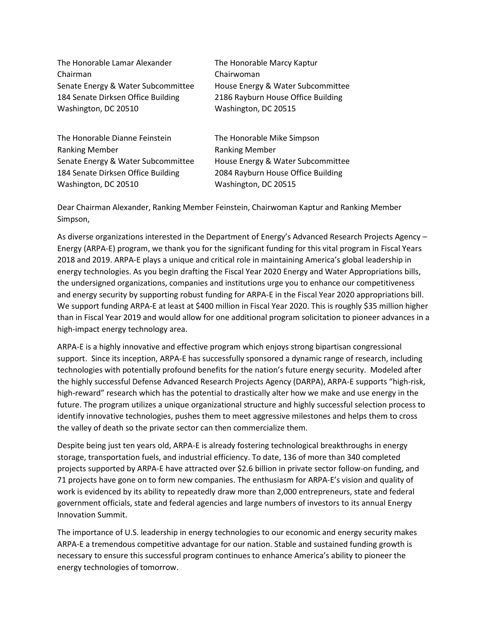| The Honorable Lamar Alexander      | The Honorable Marcy Kaptur         |
|------------------------------------|------------------------------------|
| Chairman                           | Chairwoman                         |
| Senate Energy & Water Subcommittee | House Energy & Water Subcommittee  |
| 184 Senate Dirksen Office Building | 2186 Rayburn House Office Building |
| Washington, DC 20510               | Washington, DC 20515               |
| The Honorable Dianne Feinstein     | The Honorable Mike Simpson         |
| <b>Ranking Member</b>              | <b>Ranking Member</b>              |
| Senate Energy & Water Subcommittee | House Energy & Water Subcommittee  |

184 Senate Dirksen Office Building 2084 Rayburn House Office Building

Washington, DC 20510 Washington, DC 20515

Dear Chairman Alexander, Ranking Member Feinstein, Chairwoman Kaptur and Ranking Member Simpson,

As diverse organizations interested in the Department of Energy's Advanced Research Projects Agency – Energy (ARPA-E) program, we thank you for the significant funding for this vital program in Fiscal Years 2018 and 2019. ARPA-E plays a unique and critical role in maintaining America's global leadership in energy technologies. As you begin drafting the Fiscal Year 2020 Energy and Water Appropriations bills, the undersigned organizations, companies and institutions urge you to enhance our competitiveness and energy security by supporting robust funding for ARPA-E in the Fiscal Year 2020 appropriations bill. We support funding ARPA-E at least at \$400 million in Fiscal Year 2020. This is roughly \$35 million higher than in Fiscal Year 2019 and would allow for one additional program solicitation to pioneer advances in a high-impact energy technology area.

ARPA-E is a highly innovative and effective program which enjoys strong bipartisan congressional support. Since its inception, ARPA-E has successfully sponsored a dynamic range of research, including technologies with potentially profound benefits for the nation's future energy security. Modeled after the highly successful Defense Advanced Research Projects Agency (DARPA), ARPA-E supports "high-risk, high-reward" research which has the potential to drastically alter how we make and use energy in the future. The program utilizes a unique organizational structure and highly successful selection process to identify innovative technologies, pushes them to meet aggressive milestones and helps them to cross the valley of death so the private sector can then commercialize them.

Despite being just ten years old, ARPA-E is already fostering technological breakthroughs in energy storage, transportation fuels, and industrial efficiency. To date, 136 of more than 340 completed projects supported by ARPA-E have attracted over \$2.6 billion in private sector follow-on funding, and 71 projects have gone on to form new companies. The enthusiasm for ARPA-E's vision and quality of work is evidenced by its ability to repeatedly draw more than 2,000 entrepreneurs, state and federal government officials, state and federal agencies and large numbers of investors to its annual Energy Innovation Summit.

The importance of U.S. leadership in energy technologies to our economic and energy security makes ARPA-E a tremendous competitive advantage for our nation. Stable and sustained funding growth is necessary to ensure this successful program continues to enhance America's ability to pioneer the energy technologies of tomorrow.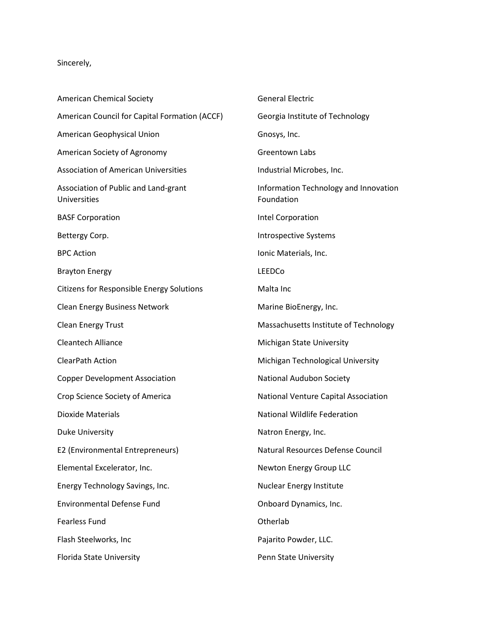## Sincerely,

American Chemical Society American Council for Capital Formation (ACCF) American Geophysical Union American Society of Agronomy Association of American Universities Association of Public and Land-grant Universities BASF Corporation Bettergy Corp. BPC Action Brayton Energy Citizens for Responsible Energy Solutions Clean Energy Business Network Clean Energy Trust Cleantech Alliance ClearPath Action Copper Development Association Crop Science Society of America Dioxide Materials Duke University E2 (Environmental Entrepreneurs) Elemental Excelerator, Inc. Energy Technology Savings, Inc. Environmental Defense Fund Fearless Fund Flash Steelworks, Inc Florida State University

General Electric Georgia Institute of Technology Gnosys, Inc. Greentown Labs Industrial Microbes, Inc. Information Technology and Innovation Foundation Intel Corporation Introspective Systems Ionic Materials, Inc. LEEDCo Malta Inc Marine BioEnergy, Inc. Massachusetts Institute of Technology Michigan State University Michigan Technological University National Audubon Society National Venture Capital Association National Wildlife Federation Natron Energy, Inc. Natural Resources Defense Council Newton Energy Group LLC Nuclear Energy Institute Onboard Dynamics, Inc. Otherlab Pajarito Powder, LLC. Penn State University